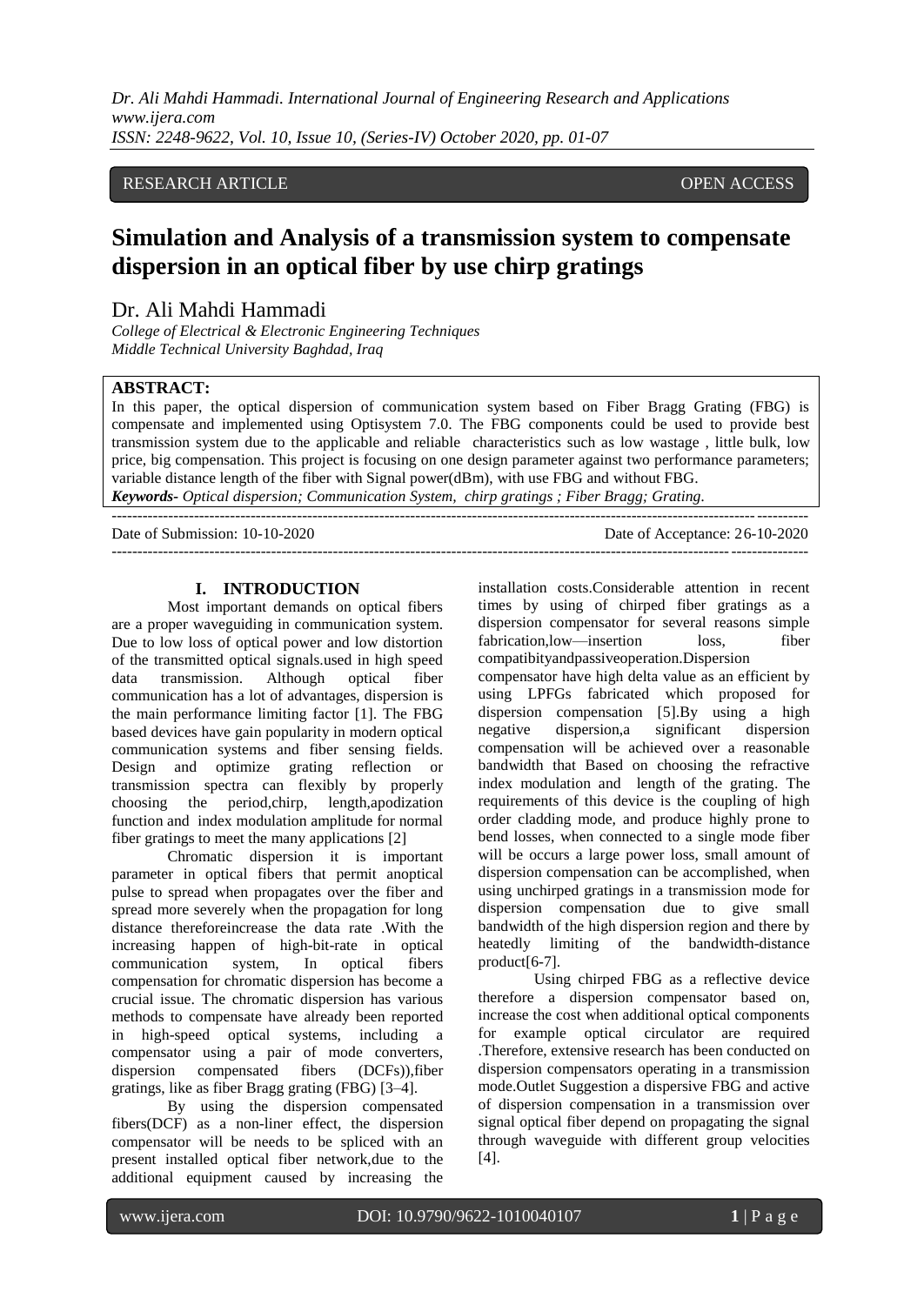## RESEARCH ARTICLE **CONSERVERS** OPEN ACCESS

# **Simulation and Analysis of a transmission system to compensate dispersion in an optical fiber by use chirp gratings**

## Dr. Ali Mahdi Hammadi

*College of Electrical & Electronic Engineering Techniques Middle Technical University Baghdad, Iraq*

## **ABSTRACT:**

In this paper, the optical dispersion of communication system based on Fiber Bragg Grating (FBG) is compensate and implemented using Optisystem 7.0. The FBG components could be used to provide best transmission system due to the applicable and reliable characteristics such as low wastage , little bulk, low price, big compensation. This project is focusing on one design parameter against two performance parameters; variable distance length of the fiber with Signal power(dBm), with use FBG and without FBG. *Keywords- Optical dispersion; Communication System, chirp gratings ; Fiber Bragg; Grating.*

---------------------------------------------------------------------------------------------------------------------------------------

---------------------------------------------------------------------------------------------------------------------------------------

Date of Submission: 10-10-2020 Date of Acceptance: 26-10-2020

## **I. INTRODUCTION**

Most important demands on optical fibers are a proper waveguiding in communication system. Due to low loss of optical power and low distortion of the transmitted optical signals.used in high speed data transmission. Although optical fiber communication has a lot of advantages, dispersion is the main performance limiting factor [1]. The FBG based devices have gain popularity in modern optical communication systems and fiber sensing fields. Design and optimize grating reflection or transmission spectra can flexibly by properly choosing the period,chirp, length,apodization function and index modulation amplitude for normal fiber gratings to meet the many applications [2]

Chromatic dispersion it is important parameter in optical fibers that permit anoptical pulse to spread when propagates over the fiber and spread more severely when the propagation for long distance thereforeincrease the data rate .With the increasing happen of high-bit-rate in optical communication system, In optical fibers compensation for chromatic dispersion has become a crucial issue. The chromatic dispersion has various methods to compensate have already been reported in high-speed optical systems, including a compensator using a pair of mode converters, dispersion compensated fibers (DCFs)),fiber gratings, like as fiber Bragg grating (FBG) [3–4].

By using the dispersion compensated fibers(DCF) as a non-liner effect, the dispersion compensator will be needs to be spliced with an present installed optical fiber network,due to the additional equipment caused by increasing the

installation costs.Considerable attention in recent times by using of chirped fiber gratings as a dispersion compensator for several reasons simple fabrication, low—insertion loss, fiber compatibityandpassiveoperation.Dispersion

compensator have high delta value as an efficient by using LPFGs fabricated which proposed for dispersion compensation [5].By using a high negative dispersion,a significant dispersion compensation will be achieved over a reasonable bandwidth that Based on choosing the refractive index modulation and length of the grating. The requirements of this device is the coupling of high order cladding mode, and produce highly prone to bend losses, when connected to a single mode fiber will be occurs a large power loss, small amount of dispersion compensation can be accomplished, when using unchirped gratings in a transmission mode for dispersion compensation due to give small bandwidth of the high dispersion region and there by heatedly limiting of the bandwidth-distance product[6-7].

Using chirped FBG as a reflective device therefore a dispersion compensator based on, increase the cost when additional optical components for example optical circulator are required .Therefore, extensive research has been conducted on dispersion compensators operating in a transmission mode.Outlet Suggestion a dispersive FBG and active of dispersion compensation in a transmission over signal optical fiber depend on propagating the signal through waveguide with different group velocities [4].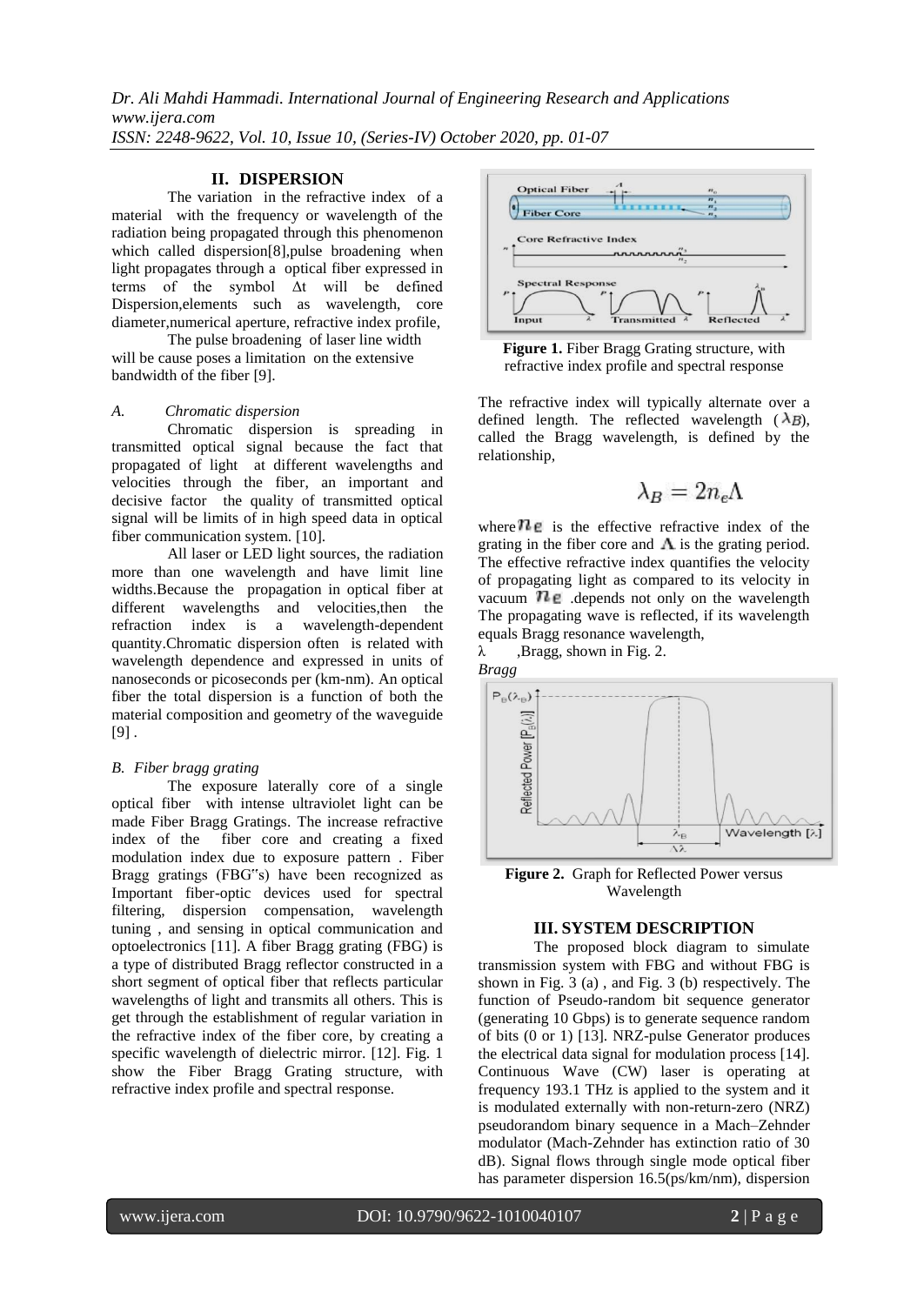## **II. DISPERSION**

The variation in the refractive index of a material with the frequency or wavelength of the radiation being propagated through this phenomenon which called dispersion[8],pulse broadening when light propagates through a optical fiber expressed in terms of the symbol Δt will be defined Dispersion,elements such as wavelength, core diameter,numerical aperture, refractive index profile,

The pulse broadening of laser line width will be cause poses a limitation on the extensive bandwidth of the fiber [9].

#### *A. Chromatic dispersion*

Chromatic dispersion is spreading in transmitted optical signal because the fact that propagated of light at different wavelengths and velocities through the fiber, an important and decisive factor the quality of transmitted optical signal will be limits of in high speed data in optical fiber communication system. [10].

All laser or LED light sources, the radiation more than one wavelength and have limit line widths.Because the propagation in optical fiber at different wavelengths and velocities,then the refraction index is a wavelength-dependent quantity.Chromatic dispersion often is related with wavelength dependence and expressed in units of nanoseconds or picoseconds per (km-nm). An optical fiber the total dispersion is a function of both the material composition and geometry of the waveguide  $[9]$ .

#### *B. Fiber bragg grating*

The exposure laterally core of a single optical fiber with intense ultraviolet light can be made Fiber Bragg Gratings. The increase refractive index of the fiber core and creating a fixed modulation index due to exposure pattern . Fiber Bragg gratings (FBG"s) have been recognized as Important fiber-optic devices used for spectral filtering, dispersion compensation, wavelength tuning , and sensing in optical communication and optoelectronics [11]. A fiber Bragg grating (FBG) is a type of distributed Bragg reflector constructed in a short segment of optical fiber that reflects particular wavelengths of light and transmits all others. This is get through the establishment of regular variation in the refractive index of the fiber core, by creating a specific wavelength of dielectric mirror. [12]. Fig. 1 show the Fiber Bragg Grating structure, with refractive index profile and spectral response.



**Figure 1.** Fiber Bragg Grating structure, with refractive index profile and spectral response

The refractive index will typically alternate over a defined length. The reflected wavelength  $(\lambda_B)$ , called the Bragg wavelength, is defined by the relationship*,*

$$
\lambda_B=2n_e\Lambda
$$

where  $\mathbf{h}_e$  is the effective refractive index of the grating in the fiber core and  $\Lambda$  is the grating period. The effective refractive index quantifies the velocity of propagating light as compared to its velocity in vacuum  $\mathbb{Z}_p$  .depends not only on the wavelength The propagating wave is reflected, if its wavelength equals Bragg resonance wavelength,

 $\lambda$ , Bragg, shown in Fig. 2.



**Figure 2.** Graph for Reflected Power versus Wavelength

### **III. SYSTEM DESCRIPTION**

The proposed block diagram to simulate transmission system with FBG and without FBG is shown in Fig. 3 (a) , and Fig. 3 (b) respectively. The function of Pseudo-random bit sequence generator (generating 10 Gbps) is to generate sequence random of bits (0 or 1) [13]. NRZ-pulse Generator produces the electrical data signal for modulation process [14]. Continuous Wave (CW) laser is operating at frequency 193.1 THz is applied to the system and it is modulated externally with non-return-zero (NRZ) pseudorandom binary sequence in a Mach–Zehnder modulator (Mach-Zehnder has extinction ratio of 30 dB). Signal flows through single mode optical fiber has parameter dispersion 16.5(ps/km/nm), dispersion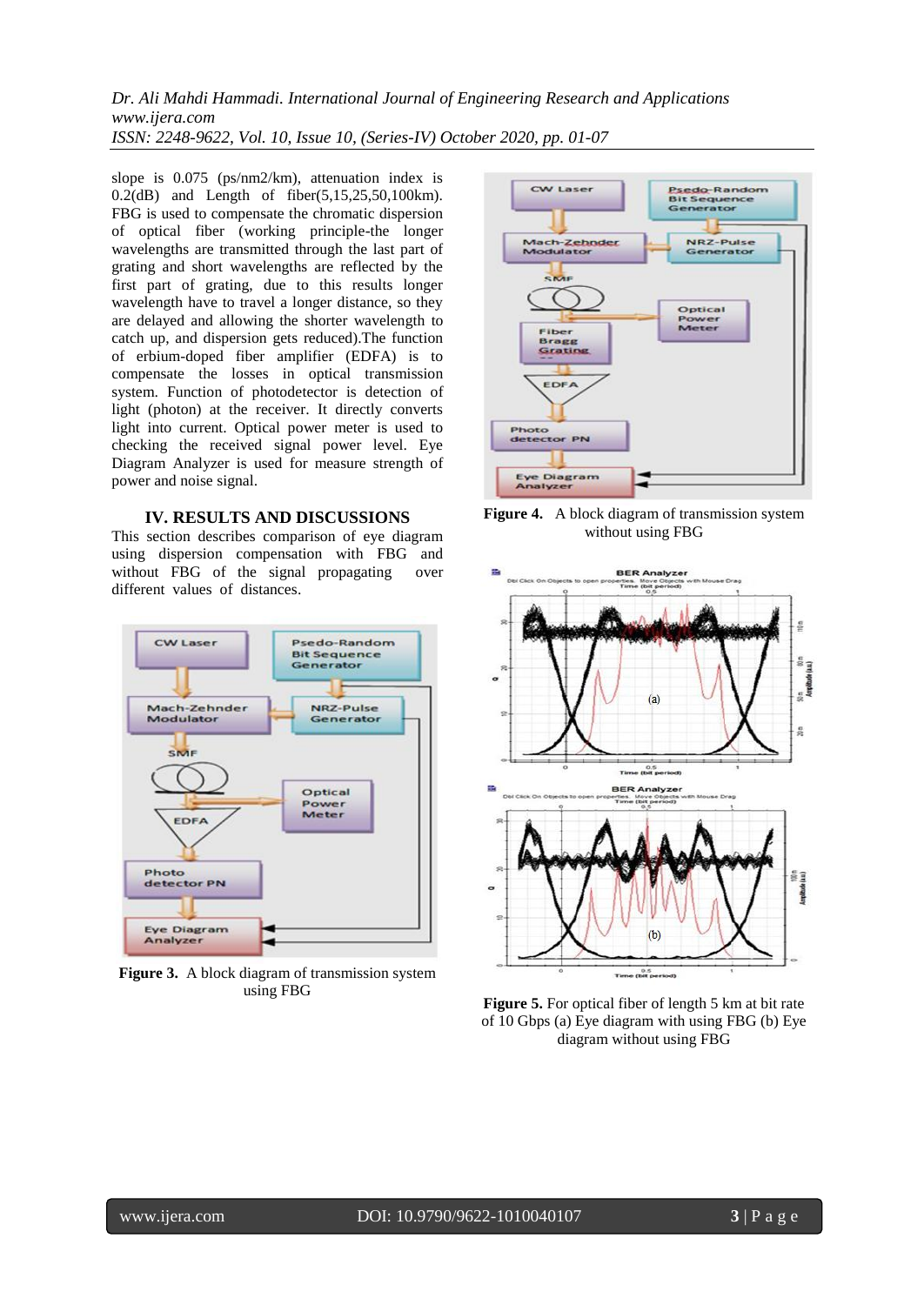slope is 0.075 (ps/nm2/km), attenuation index is 0.2(dB) and Length of fiber(5,15,25,50,100km). FBG is used to compensate the chromatic dispersion of optical fiber (working principle-the longer wavelengths are transmitted through the last part of grating and short wavelengths are reflected by the first part of grating, due to this results longer wavelength have to travel a longer distance, so they are delayed and allowing the shorter wavelength to catch up, and dispersion gets reduced).The function of erbium-doped fiber amplifier (EDFA) is to compensate the losses in optical transmission system. Function of photodetector is detection of light (photon) at the receiver. It directly converts light into current. Optical power meter is used to checking the received signal power level. Eye Diagram Analyzer is used for measure strength of power and noise signal.

## **IV. RESULTS AND DISCUSSIONS**

This section describes comparison of eye diagram using dispersion compensation with FBG and without FBG of the signal propagating over different values of distances.



**Figure 3.** A block diagram of transmission system using FBG



Figure 4. A block diagram of transmission system without using FBG



**Figure 5.** For optical fiber of length 5 km at bit rate of 10 Gbps (a) Eye diagram with using FBG (b) Eye diagram without using FBG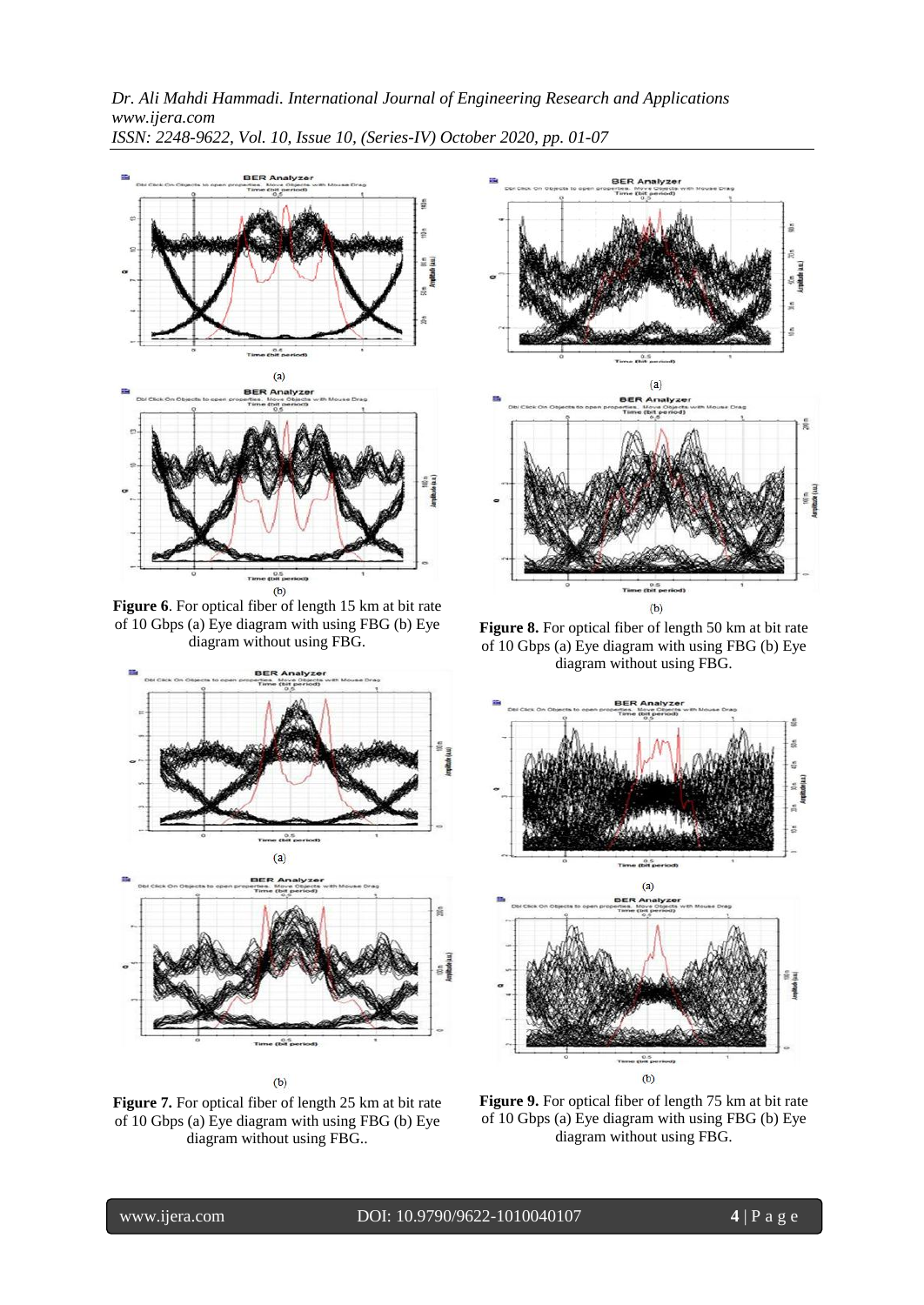

**Figure 6**. For optical fiber of length 15 km at bit rate of 10 Gbps (a) Eye diagram with using FBG (b) Eye diagram without using FBG.



 $(b)$ 

Figure 7. For optical fiber of length 25 km at bit rate of 10 Gbps (a) Eye diagram with using FBG (b) Eye diagram without using FBG..



**Figure 8.** For optical fiber of length 50 km at bit rate of 10 Gbps (a) Eye diagram with using FBG (b) Eye diagram without using FBG.



**Figure 9.** For optical fiber of length 75 km at bit rate of 10 Gbps (a) Eye diagram with using FBG (b) Eye diagram without using FBG.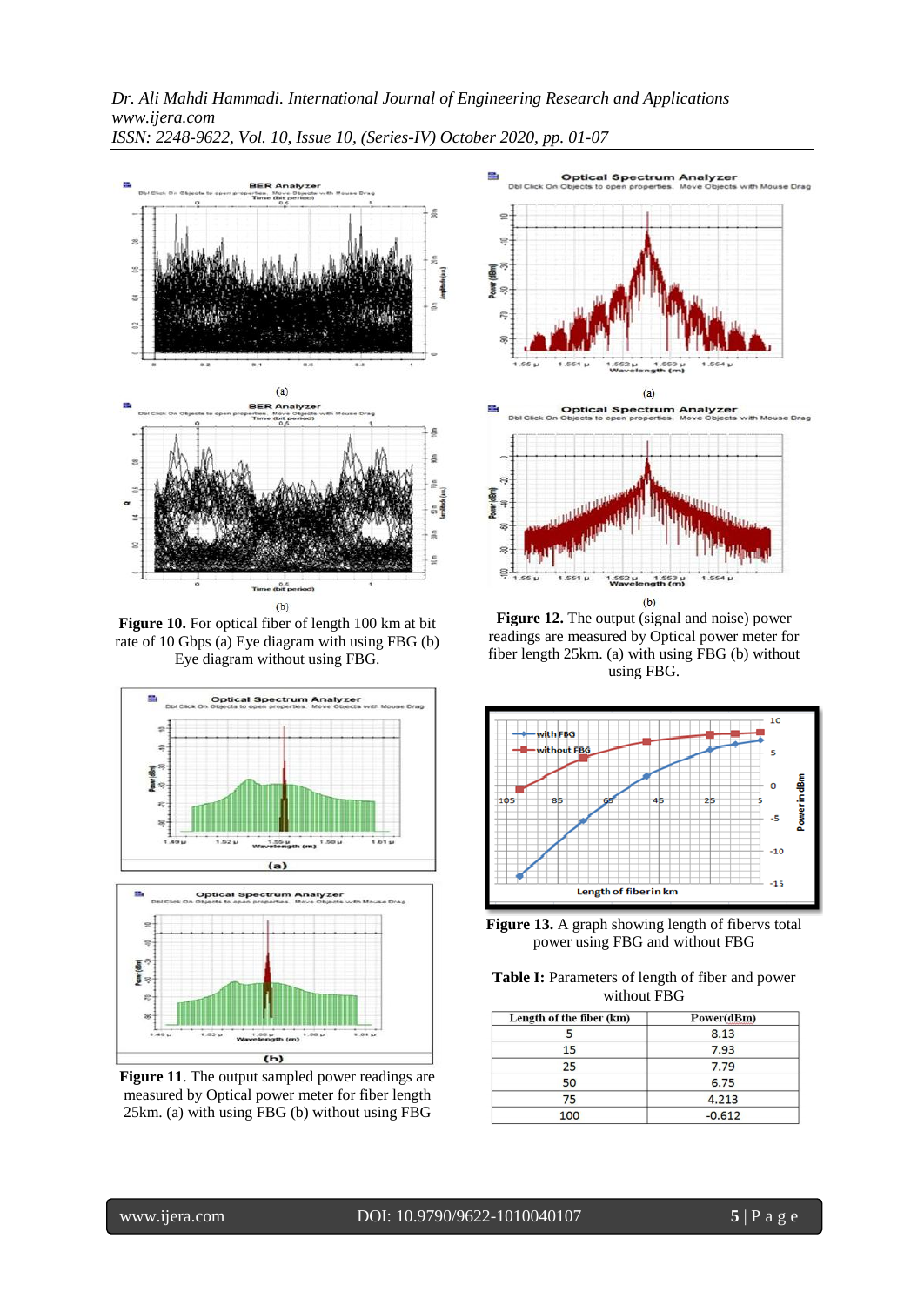

**Figure 10.** For optical fiber of length 100 km at bit rate of 10 Gbps (a) Eye diagram with using FBG (b) Eye diagram without using FBG.



**Figure 11**. The output sampled power readings are measured by Optical power meter for fiber length 25km. (a) with using FBG (b) without using FBG



 $(b)$ **Figure 12.** The output (signal and noise) power readings are measured by Optical power meter for fiber length 25km. (a) with using FBG (b) without using FBG.

S



**Figure 13.** A graph showing length of fibervs total power using FBG and without FBG

**Table I:** Parameters of length of fiber and power without FBG

| Length of the fiber (km) | Power(dBm) |
|--------------------------|------------|
|                          | 8.13       |
| 15                       | 7.93       |
| 25                       | 7.79       |
| 50                       | 6.75       |
| 75                       | 4.213      |
| 100                      | $-0.612$   |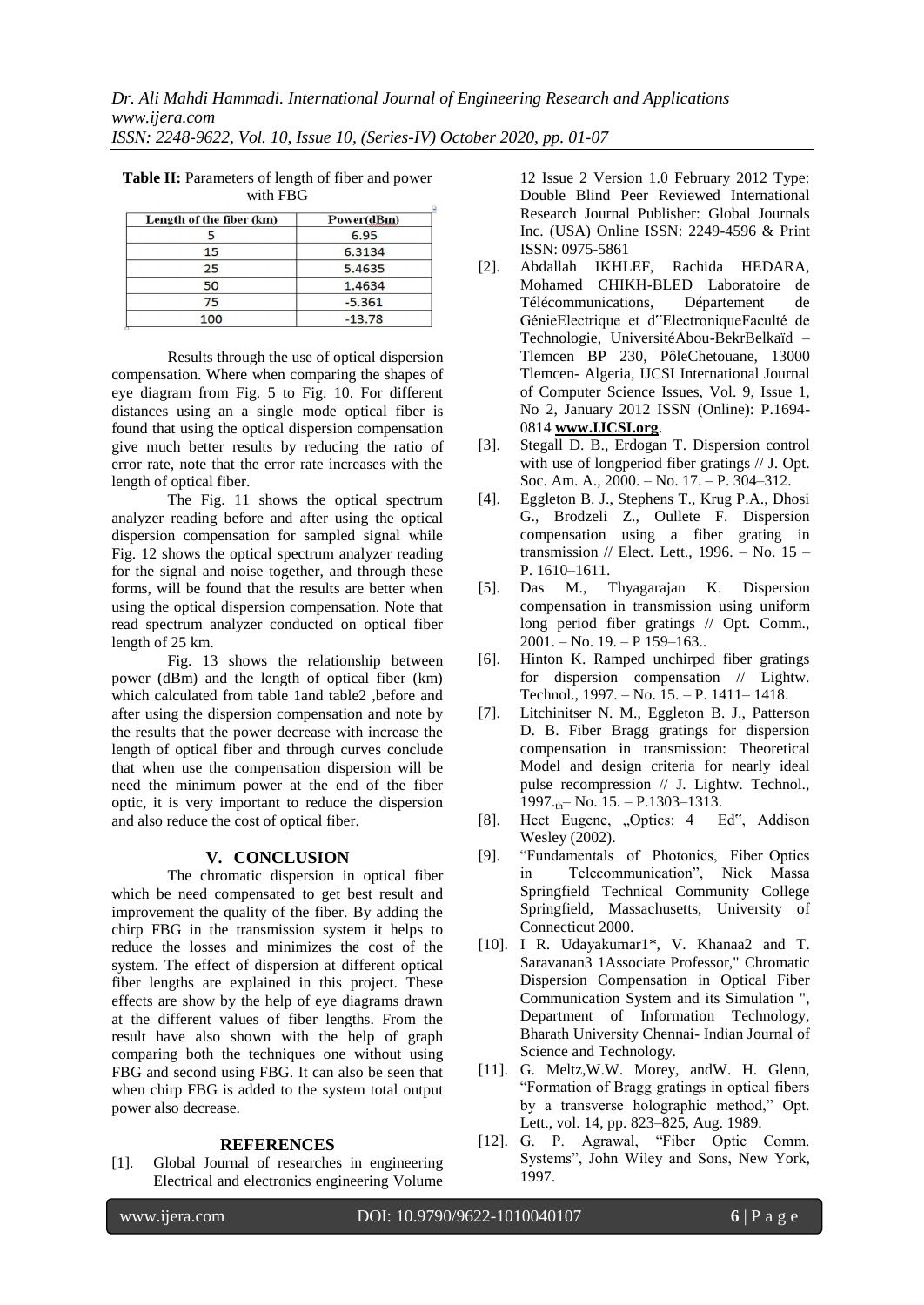| Length of the fiber (km) | Power(dBm) |
|--------------------------|------------|
|                          | 6.95       |
| 15                       | 6.3134     |
| 25                       | 5.4635     |
| 50                       | 1.4634     |
| 75                       | $-5.361$   |
| 100                      | $-13.78$   |

**Table II:** Parameters of length of fiber and power with FBG

Results through the use of optical dispersion compensation. Where when comparing the shapes of eye diagram from Fig. 5 to Fig. 10. For different distances using an a single mode optical fiber is found that using the optical dispersion compensation give much better results by reducing the ratio of error rate, note that the error rate increases with the length of optical fiber.

The Fig. 11 shows the optical spectrum analyzer reading before and after using the optical dispersion compensation for sampled signal while Fig. 12 shows the optical spectrum analyzer reading for the signal and noise together, and through these forms, will be found that the results are better when using the optical dispersion compensation. Note that read spectrum analyzer conducted on optical fiber length of 25 km.

Fig. 13 shows the relationship between power (dBm) and the length of optical fiber (km) which calculated from table 1and table2 ,before and after using the dispersion compensation and note by the results that the power decrease with increase the length of optical fiber and through curves conclude that when use the compensation dispersion will be need the minimum power at the end of the fiber optic, it is very important to reduce the dispersion and also reduce the cost of optical fiber.

## **V. CONCLUSION**

The chromatic dispersion in optical fiber which be need compensated to get best result and improvement the quality of the fiber. By adding the chirp FBG in the transmission system it helps to reduce the losses and minimizes the cost of the system. The effect of dispersion at different optical fiber lengths are explained in this project. These effects are show by the help of eye diagrams drawn at the different values of fiber lengths. From the result have also shown with the help of graph comparing both the techniques one without using FBG and second using FBG. It can also be seen that when chirp FBG is added to the system total output power also decrease.

## **REFERENCES**

[1]. Global Journal of researches in engineering Electrical and electronics engineering Volume

12 Issue 2 Version 1.0 February 2012 Type: Double Blind Peer Reviewed International Research Journal Publisher: Global Journals Inc. (USA) Online ISSN: 2249-4596 & Print ISSN: 0975-5861

- [2]. Abdallah IKHLEF, Rachida HEDARA, Mohamed CHIKH-BLED Laboratoire de Télécommunications, Département de GénieElectrique et d"ElectroniqueFaculté de Technologie, UniversitéAbou-BekrBelkaïd – Tlemcen BP 230, PôleChetouane, 13000 Tlemcen- Algeria, IJCSI International Journal of Computer Science Issues, Vol. 9, Issue 1, No 2, January 2012 ISSN (Online): P.1694- 0814 **www.IJCSI.org**.
- [3]. Stegall D. B., Erdogan T. Dispersion control with use of longperiod fiber gratings // J. Opt. Soc. Am. A., 2000. – No. 17. – P. 304–312.
- [4]. Eggleton B. J., Stephens T., Krug P.A., Dhosi G., Brodzeli Z., Oullete F. Dispersion compensation using a fiber grating in transmission // Elect. Lett., 1996. – No. 15 – P. 1610–1611.
- [5]. Das M., Thyagarajan K. Dispersion compensation in transmission using uniform long period fiber gratings // Opt. Comm.,  $2001. - No. 19. - P 159-163.$
- [6]. Hinton K. Ramped unchirped fiber gratings for dispersion compensation // Lightw. Technol., 1997. – No. 15. – P. 1411– 1418.
- [7]. Litchinitser N. M., Eggleton B. J., Patterson D. B. Fiber Bragg gratings for dispersion compensation in transmission: Theoretical Model and design criteria for nearly ideal pulse recompression // J. Lightw. Technol.,  $1997._{\text{th}}$  No. 15. – P.1303–1313.
- [8]. Hect Eugene, "Optics: 4 Ed", Addison Wesley (2002).
- [9]. ―Fundamentals of Photonics, Fiber Optics in Telecommunication", Nick Massa Springfield Technical Community College Springfield, Massachusetts, University of Connecticut 2000.
- [10]. I R. Udayakumar1\*, V. Khanaa2 and T. Saravanan3 1Associate Professor," Chromatic Dispersion Compensation in Optical Fiber Communication System and its Simulation ", Department of Information Technology, Bharath University Chennai- Indian Journal of Science and Technology.
- [11]. G. Meltz,W.W. Morey, andW. H. Glenn, ―Formation of Bragg gratings in optical fibers by a transverse holographic method," Opt. Lett., vol. 14, pp. 823–825, Aug. 1989.
- [12]. G. P. Agrawal, "Fiber Optic Comm. Systems", John Wiley and Sons, New York, 1997.